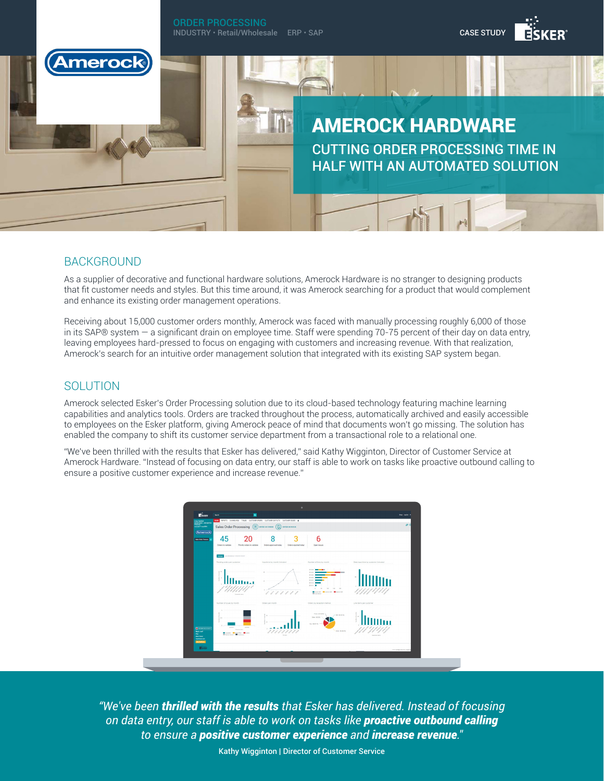ORDER PROCESSING CASE STUDY INDUSTRY • Retail/Wholesale ERP • SAP meroc AMEROCK HARDWARE CUTTING ORDER PROCESSING TIME IN HALF WITH AN AUTOMATED SOLUTION

## BACKGROUND

As a supplier of decorative and functional hardware solutions, Amerock Hardware is no stranger to designing products that fit customer needs and styles. But this time around, it was Amerock searching for a product that would complement and enhance its existing order management operations.

Receiving about 15,000 customer orders monthly, Amerock was faced with manually processing roughly 6,000 of those in its SAP® system — a significant drain on employee time. Staff were spending 70-75 percent of their day on data entry, leaving employees hard-pressed to focus on engaging with customers and increasing revenue. With that realization, Amerock's search for an intuitive order management solution that integrated with its existing SAP system began.

## **SOLUTION**

Amerock selected Esker's Order Processing solution due to its cloud-based technology featuring machine learning capabilities and analytics tools. Orders are tracked throughout the process, automatically archived and easily accessible to employees on the Esker platform, giving Amerock peace of mind that documents won't go missing. The solution has enabled the company to shift its customer service department from a transactional role to a relational one.

"We've been thrilled with the results that Esker has delivered," said Kathy Wigginton, Director of Customer Service at Amerock Hardware. "Instead of focusing on data entry, our staff is able to work on tasks like proactive outbound calling to ensure a positive customer experience and increase revenue."

| Lina Sentici<br>ssocs zano -una somo -<br>mootss<br>mood 11 mi 2016                                                                                                                                                                                  | 间<br><b>Sales Order Processing</b><br>ത<br><b>DITER AN ISSUE</b><br><b>DITER AN ORDER  </b> |                                                     |                                  |                            |                                                                                                                                 |                             |                                        |  |
|------------------------------------------------------------------------------------------------------------------------------------------------------------------------------------------------------------------------------------------------------|---------------------------------------------------------------------------------------------|-----------------------------------------------------|----------------------------------|----------------------------|---------------------------------------------------------------------------------------------------------------------------------|-----------------------------|----------------------------------------|--|
| (Amerock)<br>Sales Order Processi                                                                                                                                                                                                                    | 45<br>Orders to validate                                                                    | 20<br>Priority orders to validate                   | 8<br>Orders approved today       | З<br>Orders rejected today | 6<br>Open issues                                                                                                                |                             |                                        |  |
|                                                                                                                                                                                                                                                      | <b>PATRA</b> Let elected in TUS/2014 16:00 ST                                               |                                                     |                                  |                            |                                                                                                                                 |                             |                                        |  |
|                                                                                                                                                                                                                                                      | Pending orders per publisher                                                                |                                                     | Integrity for the month branched |                            | Number of Irwicky month.                                                                                                        |                             | Data input time by customer transfest  |  |
|                                                                                                                                                                                                                                                      |                                                                                             | <b>Contract com</b>                                 | 11111<br>×                       |                            | <b>HISAN</b><br><br><b>HILL</b><br>2016-02<br>produ<br><b>JEFFER</b><br>2010-10<br><b>Strain</b><br>Sea (St. Banca (St. Blanca) | $\sim$                      | ////////                               |  |
|                                                                                                                                                                                                                                                      | Number of issues by month                                                                   |                                                     | Orders per month                 |                            | Orders by reception method                                                                                                      |                             | Line items per customer                |  |
| $\bullet$ . The second second second second second second second second second second second second second second second second second second second second second second second second second second second second second second<br><b>Mark and</b> | 586<br>$\mathbb{R}$ .<br>20401                                                              | 22401<br>Onaton date<br>General Ministère Microsoft | <b>ALC</b>                       | <b>PO date</b>             | Paral Stocking<br>0m 402V<br>Fax: 39 (15 PM)                                                                                    | - GOLDSCRIPE<br>Enal Blatch | ×                                      |  |
| <b>Rend Esker</b><br><b>Tractive com</b><br><b>Goo Seedback</b>                                                                                                                                                                                      |                                                                                             |                                                     |                                  |                            |                                                                                                                                 |                             | <b><i><u>Partnership backs</u></i></b> |  |

*"We've been thrilled with the results that Esker has delivered. Instead of focusing on data entry, our staff is able to work on tasks like proactive outbound calling to ensure a positive customer experience and increase revenue.″*